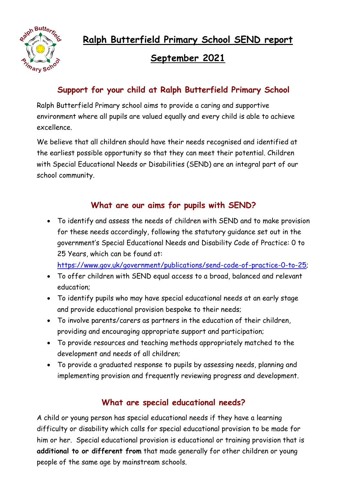**Ralph Butterfield Primary School SEND report**



# **September 2021**

### **Support for your child at Ralph Butterfield Primary School**

Ralph Butterfield Primary school aims to provide a caring and supportive environment where all pupils are valued equally and every child is able to achieve excellence.

We believe that all children should have their needs recognised and identified at the earliest possible opportunity so that they can meet their potential. Children with Special Educational Needs or Disabilities (SEND) are an integral part of our school community.

#### **What are our aims for pupils with SEND?**

 To identify and assess the needs of children with SEND and to make provision for these needs accordingly, following the statutory guidance set out in the government's Special Educational Needs and Disability Code of Practice: 0 to 25 Years, which can be found at:

[https://www.gov.uk/government/publications/send-code-of-practice-0-to-25;](https://www.gov.uk/government/publications/send-code-of-practice-0-to-25)

- To offer children with SEND equal access to a broad, balanced and relevant education;
- To identify pupils who may have special educational needs at an early stage and provide educational provision bespoke to their needs;
- To involve parents/carers as partners in the education of their children, providing and encouraging appropriate support and participation;
- To provide resources and teaching methods appropriately matched to the development and needs of all children;
- To provide a graduated response to pupils by assessing needs, planning and implementing provision and frequently reviewing progress and development.

### **What are special educational needs?**

A child or young person has special educational needs if they have a learning difficulty or disability which calls for special educational provision to be made for him or her. Special educational provision is educational or training provision that is **additional to or different from** that made generally for other children or young people of the same age by mainstream schools.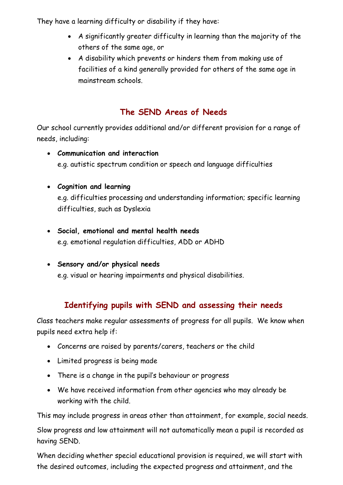They have a learning difficulty or disability if they have:

- A significantly greater difficulty in learning than the majority of the others of the same age, or
- A disability which prevents or hinders them from making use of facilities of a kind generally provided for others of the same age in mainstream schools.

# **The SEND Areas of Needs**

Our school currently provides additional and/or different provision for a range of needs, including:

 **Communication and interaction** e.g. autistic spectrum condition or speech and language difficulties

#### **Cognition and learning**

e.g. difficulties processing and understanding information; specific learning difficulties, such as Dyslexia

- **Social, emotional and mental health needs** e.g. emotional regulation difficulties, ADD or ADHD
- **Sensory and/or physical needs** e.g. visual or hearing impairments and physical disabilities.

# **Identifying pupils with SEND and assessing their needs**

Class teachers make regular assessments of progress for all pupils. We know when pupils need extra help if:

- Concerns are raised by parents/carers, teachers or the child
- Limited progress is being made
- There is a change in the pupil's behaviour or progress
- We have received information from other agencies who may already be working with the child.

This may include progress in areas other than attainment, for example, social needs.

Slow progress and low attainment will not automatically mean a pupil is recorded as having SEND.

When deciding whether special educational provision is required, we will start with the desired outcomes, including the expected progress and attainment, and the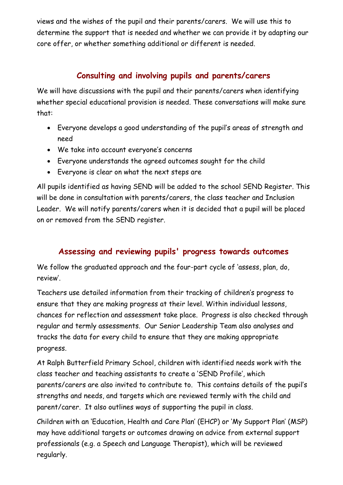views and the wishes of the pupil and their parents/carers. We will use this to determine the support that is needed and whether we can provide it by adapting our core offer, or whether something additional or different is needed.

## **Consulting and involving pupils and parents/carers**

We will have discussions with the pupil and their parents/carers when identifying whether special educational provision is needed. These conversations will make sure that:

- Everyone develops a good understanding of the pupil's areas of strength and need
- We take into account everyone's concerns
- Everyone understands the agreed outcomes sought for the child
- Everyone is clear on what the next steps are

All pupils identified as having SEND will be added to the school SEND Register. This will be done in consultation with parents/carers, the class teacher and Inclusion Leader. We will notify parents/carers when it is decided that a pupil will be placed on or removed from the SEND register.

# **Assessing and reviewing pupils' progress towards outcomes**

We follow the graduated approach and the four-part cycle of 'assess, plan, do, review'.

Teachers use detailed information from their tracking of children's progress to ensure that they are making progress at their level. Within individual lessons, chances for reflection and assessment take place. Progress is also checked through regular and termly assessments. Our Senior Leadership Team also analyses and tracks the data for every child to ensure that they are making appropriate progress.

At Ralph Butterfield Primary School, children with identified needs work with the class teacher and teaching assistants to create a 'SEND Profile', which parents/carers are also invited to contribute to. This contains details of the pupil's strengths and needs, and targets which are reviewed termly with the child and parent/carer. It also outlines ways of supporting the pupil in class.

Children with an 'Education, Health and Care Plan' (EHCP) or 'My Support Plan' (MSP) may have additional targets or outcomes drawing on advice from external support professionals (e.g. a Speech and Language Therapist), which will be reviewed regularly.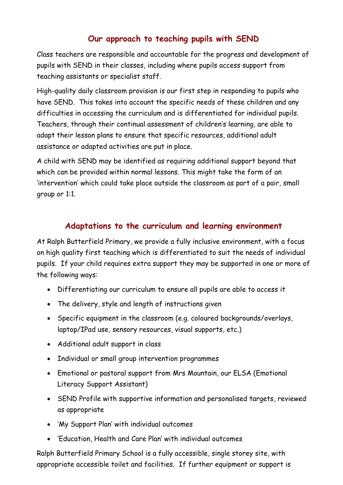#### **Our approach to teaching pupils with SEND**

Class teachers are responsible and accountable for the progress and development of pupils with SEND in their classes, including where pupils access support from teaching assistants or specialist staff.

High-quality daily classroom provision is our first step in responding to pupils who have SEND. This takes into account the specific needs of these children and any difficulties in accessing the curriculum and is differentiated for individual pupils. Teachers, through their continual assessment of children's learning, are able to adapt their lesson plans to ensure that specific resources, additional adult assistance or adapted activities are put in place.

A child with SEND may be identified as requiring additional support beyond that which can be provided within normal lessons. This might take the form of an 'intervention' which could take place outside the classroom as part of a pair, small group or 1:1.

### **Adaptations to the curriculum and learning environment**

At Ralph Butterfield Primary, we provide a fully inclusive environment, with a focus on high quality first teaching which is differentiated to suit the needs of individual pupils. If your child requires extra support they may be supported in one or more of the following ways:

- Differentiating our curriculum to ensure all pupils are able to access it
- The delivery, style and length of instructions given
- Specific equipment in the classroom (e.g. coloured backgrounds/overlays, laptop/IPad use, sensory resources, visual supports, etc.)
- Additional adult support in class
- Individual or small group intervention programmes
- Emotional or pastoral support from Mrs Mountain, our ELSA (Emotional Literacy Support Assistant)
- SEND Profile with supportive information and personalised targets, reviewed as appropriate
- 'My Support Plan' with individual outcomes
- 'Education, Health and Care Plan' with individual outcomes

Ralph Butterfield Primary School is a fully accessible, single storey site, with appropriate accessible toilet and facilities. If further equipment or support is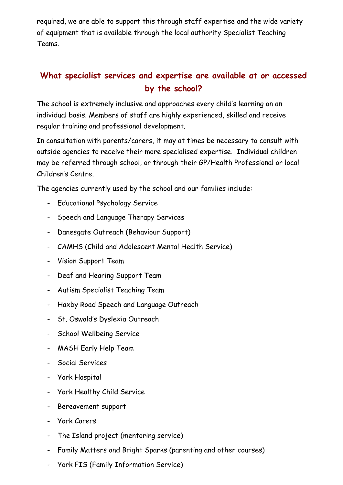required, we are able to support this through staff expertise and the wide variety of equipment that is available through the local authority Specialist Teaching Teams.

# **What specialist services and expertise are available at or accessed by the school?**

The school is extremely inclusive and approaches every child's learning on an individual basis. Members of staff are highly experienced, skilled and receive regular training and professional development.

In consultation with parents/carers, it may at times be necessary to consult with outside agencies to receive their more specialised expertise. Individual children may be referred through school, or through their GP/Health Professional or local Children's Centre.

The agencies currently used by the school and our families include:

- Educational Psychology Service
- Speech and Language Therapy Services
- Danesgate Outreach (Behaviour Support)
- CAMHS (Child and Adolescent Mental Health Service)
- Vision Support Team
- Deaf and Hearing Support Team
- Autism Specialist Teaching Team
- Haxby Road Speech and Language Outreach
- St. Oswald's Dyslexia Outreach
- School Wellbeing Service
- MASH Early Help Team
- Social Services
- York Hospital
- York Healthy Child Service
- Bereavement support
- York Carers
- The Island project (mentoring service)
- Family Matters and Bright Sparks (parenting and other courses)
- York FIS (Family Information Service)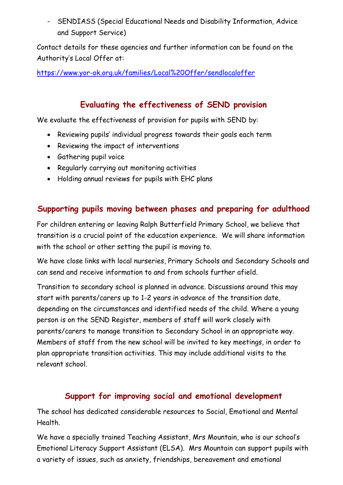- SENDIASS (Special Educational Needs and Disability Information, Advice and Support Service)

Contact details for these agencies and further information can be found on the Authority's Local Offer at:

<https://www.yor-ok.org.uk/families/Local%20Offer/sendlocaloffer>

## **Evaluating the effectiveness of SEND provision**

We evaluate the effectiveness of provision for pupils with SEND by:

- Reviewing pupils' individual progress towards their goals each term
- Reviewing the impact of interventions
- Gathering pupil voice
- Regularly carrying out monitoring activities
- Holding annual reviews for pupils with EHC plans

### **Supporting pupils moving between phases and preparing for adulthood**

For children entering or leaving Ralph Butterfield Primary School, we believe that transition is a crucial point of the education experience. We will share information with the school or other setting the pupil is moving to.

We have close links with local nurseries, Primary Schools and Secondary Schools and can send and receive information to and from schools further afield.

Transition to secondary school is planned in advance. Discussions around this may start with parents/carers up to 1-2 years in advance of the transition date, depending on the circumstances and identified needs of the child. Where a young person is on the SEND Register, members of staff will work closely with parents/carers to manage transition to Secondary School in an appropriate way. Members of staff from the new school will be invited to key meetings, in order to plan appropriate transition activities. This may include additional visits to the relevant school.

### **Support for improving social and emotional development**

The school has dedicated considerable resources to Social, Emotional and Mental Health.

We have a specially trained Teaching Assistant, Mrs Mountain, who is our school's Emotional Literacy Support Assistant (ELSA). Mrs Mountain can support pupils with a variety of issues, such as anxiety, friendships, bereavement and emotional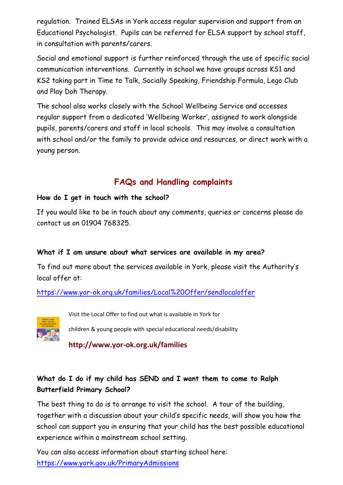regulation. Trained ELSAs in York access regular supervision and support from an Educational Psychologist. Pupils can be referred for ELSA support by school staff, in consultation with parents/carers.

Social and emotional support is further reinforced through the use of specific social communication interventions. Currently in school we have groups across KS1 and KS2 taking part in Time to Talk, Socially Speaking, Friendship Formula, Lego Club and Play Doh Therapy.

The school also works closely with the School Wellbeing Service and accesses regular support from a dedicated 'Wellbeing Worker', assigned to work alongside pupils, parents/carers and staff in local schools. This may involve a consultation with school and/or the family to provide advice and resources, or direct work with a young person.

### **FAQs and Handling complaints**

#### **How do I get in touch with the school?**

If you would like to be in touch about any comments, queries or concerns please do contact us on 01904 768325.

#### **What if I am unsure about what services are available in my area?**

To find out more about the services available in York, please visit the Authority's local offer at:

<https://www.yor-ok.org.uk/families/Local%20Offer/sendlocaloffer>



Visit the Local Offer to find out what is available in York for

children & young people with special educational needs/disability

**http://www.yor-ok.org.uk/families**

#### What do I do if my child has SEND and I want them to come to Ralph **Butterfield Primary School?**

The best thing to do is to arrange to visit the school. A tour of the building, together with a discussion about your child's specific needs, will show you how the school can support you in ensuring that your child has the best possible educational experience within a mainstream school setting.

You can also access information about starting school here: <https://www.york.gov.uk/PrimaryAdmissions>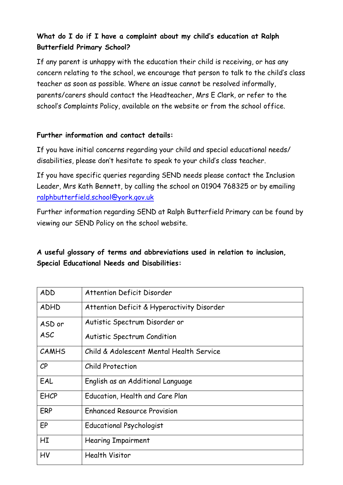#### **What do I do if I have a complaint about my child's education at Ralph Butterfield Primary School?**

If any parent is unhappy with the education their child is receiving, or has any concern relating to the school, we encourage that person to talk to the child's class teacher as soon as possible. Where an issue cannot be resolved informally, parents/carers should contact the Headteacher, Mrs E Clark, or refer to the school's Complaints Policy, available on the website or from the school office.

#### **Further information and contact details:**

If you have initial concerns regarding your child and special educational needs/ disabilities, please don't hesitate to speak to your child's class teacher.

If you have specific queries regarding SEND needs please contact the Inclusion Leader, Mrs Kath Bennett, by calling the school on 01904 768325 or by emailing [ralphbutterfield.school@york.gov.uk](mailto:ralphbutterfield.school@york.gov.uk)

Further information regarding SEND at Ralph Butterfield Primary can be found by viewing our SEND Policy on the school website.

#### **A useful glossary of terms and abbreviations used in relation to inclusion, Special Educational Needs and Disabilities:**

| ADD            | <b>Attention Deficit Disorder</b>          |
|----------------|--------------------------------------------|
| <b>ADHD</b>    | Attention Deficit & Hyperactivity Disorder |
| ASD or         | Autistic Spectrum Disorder or              |
| <b>ASC</b>     | <b>Autistic Spectrum Condition</b>         |
| <b>CAMHS</b>   | Child & Adolescent Mental Health Service   |
| $\mathcal{C}P$ | Child Protection                           |
| EAL            | English as an Additional Language          |
| <b>EHCP</b>    | Education, Health and Care Plan            |
| <b>ERP</b>     | <b>Enhanced Resource Provision</b>         |
| EP             | <b>Educational Psychologist</b>            |
| HI             | <b>Hearing Impairment</b>                  |
| HV             | <b>Health Visitor</b>                      |